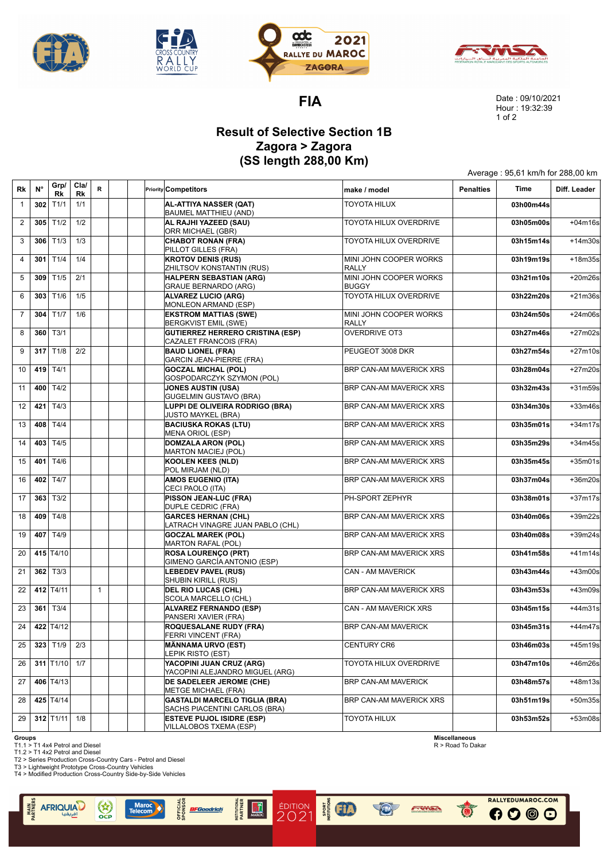







**FIA**

Date : 09/10/2021 Hour : 19:32:39 1 of 2

Average : 95,61 km/h for 288,00 km

## **Result of Selective Section 1B Zagora > Zagora (SS length 288,00 Km)**

T

| Rk             | $N^{\circ}$ | Grp/<br>Rk               | Cla/<br>Rk | R.           |  | <b>Priority Competitors</b>                                           | make / model                           | <b>Penalties</b> | Time      | Diff. Leader |
|----------------|-------------|--------------------------|------------|--------------|--|-----------------------------------------------------------------------|----------------------------------------|------------------|-----------|--------------|
| $\mathbf{1}$   | 302         | T1/1                     | 1/1        |              |  | AL-ATTIYA NASSER (QAT)<br><b>BAUMEL MATTHIEU (AND)</b>                | <b>TOYOTA HILUX</b>                    |                  | 03h00m44s |              |
| 2              |             | $305$ T <sub>1/2</sub>   | 1/2        |              |  | AL RAJHI YAZEED (SAU)<br>ORR MICHAEL (GBR)                            | TOYOTA HILUX OVERDRIVE                 |                  | 03h05m00s | $+04m16s$    |
| 3              |             | $306$ T <sub>1/3</sub>   | 1/3        |              |  | <b>CHABOT RONAN (FRA)</b><br>PILLOT GILLES (FRA)                      | TOYOTA HILUX OVERDRIVE                 |                  | 03h15m14s | $+14m30s$    |
| $\overline{4}$ | 301         | T1/4                     | 1/4        |              |  | <b>KROTOV DENIS (RUS)</b><br>ZHILTSOV KONSTANTIN (RUS)                | MINI JOHN COOPER WORKS<br><b>RALLY</b> |                  | 03h19m19s | +18m35s      |
| 5              |             | $309$ T <sub>1/5</sub>   | 2/1        |              |  | <b>HALPERN SEBASTIAN (ARG)</b><br><b>GRAUE BERNARDO (ARG)</b>         | MINI JOHN COOPER WORKS<br><b>BUGGY</b> |                  | 03h21m10s | +20m26s      |
| 6              | 303         | T1/6                     | 1/5        |              |  | <b>ALVAREZ LUCIO (ARG)</b><br>MONLEON ARMAND (ESP)                    | TOYOTA HILUX OVERDRIVE                 |                  | 03h22m20s | +21m36s      |
| $\overline{7}$ |             | 304 $T1/7$               | 1/6        |              |  | <b>EKSTROM MATTIAS (SWE)</b><br>BERGKVIST EMIL (SWE)                  | MINI JOHN COOPER WORKS<br><b>RALLY</b> |                  | 03h24m50s | $+24m06s$    |
| 8              |             | $360$ T3/1               |            |              |  | <b>GUTIERREZ HERRERO CRISTINA (ESP)</b><br>CAZALET FRANCOIS (FRA)     | <b>OVERDRIVE OT3</b>                   |                  | 03h27m46s | +27m02s      |
| 9              |             | 317 $T1/8$               | 2/2        |              |  | <b>BAUD LIONEL (FRA)</b><br>GARCIN JEAN-PIERRE (FRA)                  | PEUGEOT 3008 DKR                       |                  | 03h27m54s | +27m10s      |
| 10             |             | 419 T4/1                 |            |              |  | <b>GOCZAL MICHAL (POL)</b><br>GOSPODARCZYK SZYMON (POL)               | BRP CAN-AM MAVERICK XRS                |                  | 03h28m04s | +27m20s      |
| 11             |             | 400 $T4/2$               |            |              |  | <b>JONES AUSTIN (USA)</b><br><b>GUGELMIN GUSTAVO (BRA)</b>            | BRP CAN-AM MAVERICK XRS                |                  | 03h32m43s | +31m59s      |
| 12             | 421         | T4/3                     |            |              |  | LUPPI DE OLIVEIRA RODRIGO (BRA)<br><b>JUSTO MAYKEL (BRA)</b>          | BRP CAN-AM MAVERICK XRS                |                  | 03h34m30s | +33m46s      |
| 13             |             | 408 T4/4                 |            |              |  | <b>BACIUSKA ROKAS (LTU)</b><br>MENA ORIOL (ESP)                       | BRP CAN-AM MAVERICK XRS                |                  | 03h35m01s | $+34m17s$    |
| 14             |             | 403 $T4/5$               |            |              |  | <b>DOMZALA ARON (POL)</b><br><b>MARTON MACIEJ (POL)</b>               | BRP CAN-AM MAVERICK XRS                |                  | 03h35m29s | $+34m45s$    |
| 15             |             | 401 $T4/6$               |            |              |  | <b>KOOLEN KEES (NLD)</b><br>POL MIRJAM (NLD)                          | BRP CAN-AM MAVERICK XRS                |                  | 03h35m45s | $+35m01s$    |
| 16             |             | 402 T4/7                 |            |              |  | <b>AMOS EUGENIO (ITA)</b><br>CECI PAOLO (ITA)                         | BRP CAN-AM MAVERICK XRS                |                  | 03h37m04s | +36m20s      |
| 17             |             | $363$ T3/2               |            |              |  | <b>PISSON JEAN-LUC (FRA)</b><br>DUPLE CEDRIC (FRA)                    | PH-SPORT ZEPHYR                        |                  | 03h38m01s | $+37m17s$    |
| 18             |             | 409 $T4/8$               |            |              |  | <b>GARCES HERNAN (CHL)</b><br>LATRACH VINAGRE JUAN PABLO (CHL)        | BRP CAN-AM MAVERICK XRS                |                  | 03h40m06s | +39m22s      |
| 19             |             | 407 T4/9                 |            |              |  | <b>GOCZAL MAREK (POL)</b><br><b>MARTON RAFAL (POL)</b>                | BRP CAN-AM MAVERICK XRS                |                  | 03h40m08s | +39m24s      |
| 20             |             | 415 $T4/10$              |            |              |  | <b>ROSA LOURENÇO (PRT)</b><br>GIMENO GARCÍA ANTONIO (ESP)             | BRP CAN-AM MAVERICK XRS                |                  | 03h41m58s | $+41m14s$    |
| 21             |             | $362$ T <sub>3</sub> /3  |            |              |  | <b>LEBEDEV PAVEL (RUS)</b><br>SHUBIN KIRILL (RUS)                     | CAN - AM MAVERICK                      |                  | 03h43m44s | +43m00s      |
| 22             |             | 412 $T4/11$              |            | $\mathbf{1}$ |  | <b>DEL RIO LUCAS (CHL)</b><br>SCOLA MARCELLO (CHL)                    | BRP CAN-AM MAVERICK XRS                |                  | 03h43m53s | +43m09s      |
| 23             |             | $361$ T <sub>3</sub> /4  |            |              |  | <b>ALVAREZ FERNANDO (ESP)</b><br>PANSERI XAVIER (FRA)                 | <b>CAN - AM MAVERICK XRS</b>           |                  | 03h45m15s | $+44m31s$    |
| 24             |             | 422 $T4/12$              |            |              |  | <b>ROQUESALANE RUDY (FRA)</b><br>FERRI VINCENT (FRA)                  | <b>BRP CAN-AM MAVERICK</b>             |                  | 03h45m31s | $+44m47s$    |
| 25             |             | $323$ T <sub>1/9</sub>   | 2/3        |              |  | MÄNNAMA URVO (EST)<br>LEPIK RISTO (EST)                               | <b>CENTURY CR6</b>                     |                  | 03h46m03s | +45m19s      |
| 26             |             | 311 $T1/10$              | 1/7        |              |  | YACOPINI JUAN CRUZ (ARG)<br>YACOPINI ALEJANDRO MIGUEL (ARG)           | TOYOTA HILUX OVERDRIVE                 |                  | 03h47m10s | +46m26s      |
| 27             |             | 406 T4/13                |            |              |  | <b>DE SADELEER JEROME (CHE)</b><br>METGE MICHAEL (FRA)                | <b>BRP CAN-AM MAVERICK</b>             |                  | 03h48m57s | +48m13s      |
| 28             |             | 425 T4/14                |            |              |  | <b>GASTALDI MARCELO TIGLIA (BRA)</b><br>SACHS PIACENTINI CARLOS (BRA) | BRP CAN-AM MAVERICK XRS                |                  | 03h51m19s | +50m35s      |
| 29             |             | $312$ T <sub>1</sub> /11 | 1/8        |              |  | <b>ESTEVE PUJOL ISIDRE (ESP)</b><br>VILLALOBOS TXEMA (ESP)            | <b>TOYOTA HILUX</b>                    |                  | 03h53m52s | +53m08s      |
|                |             |                          |            |              |  |                                                                       |                                        |                  |           |              |

**EXECUT** 

**TOP** 

**EXWEA** 

ÉDITION<br>2021

**Groups**

**MAIN**<br>RTNER

T1.1 > T1 4x4 Petrol and Diesel T1.2 > T1 4x2 Petrol and Diesel

**AFRIQUIA** 

T2 > Series Production Cross-Country Cars - Petrol and Diesel T3 > Lightweight Prototype Cross-Country Vehicles T4 > Modified Production Cross-Country Side-by-Side Vehicles

 $\binom{4}{\text{ocp}}$ 

Maro<br>Telecon

OFFICIAL<br>SPONSOR

IFGoodrich

**INSTITUTIONAL**<br>PARTNER

 $\frac{1}{\Omega}$ 

**Miscellaneous** R > Road To Dakar

 $\ddot{\bullet}$ 

RALLYEDUMAROC.COM

 $000$